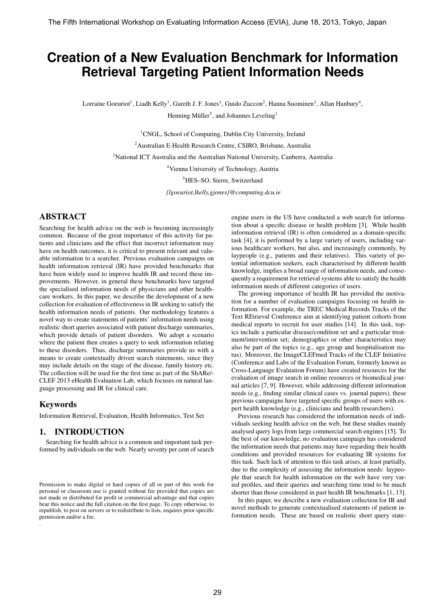# **Creation of a New Evaluation Benchmark for Information Retrieval Targeting Patient Information Needs**

Lorraine Goeuriot<sup>1</sup>, Liadh Kelly<sup>1</sup>, Gareth J. F. Jones<sup>1</sup>, Guido Zuccon<sup>2</sup>, Hanna Suominen<sup>3</sup>, Allan Hanbury<sup>4</sup>, Henning Müller<sup>5</sup>, and Johannes Leveling<sup>1</sup>

> <sup>1</sup>CNGL, School of Computing, Dublin City University, Ireland <sup>2</sup>Australian E-Health Research Centre, CSIRO, Brisbane, Australia <sup>3</sup>National ICT Australia and the Australian National University, Canberra, Australia <sup>4</sup>Vienna University of Technology, Austria <sup>5</sup>HES–SO, Sierre, Switzerland *{lgoeuriot,lkelly,gjones}@computing.dcu.ie*

# ABSTRACT

Searching for health advice on the web is becoming increasingly common. Because of the great importance of this activity for patients and clinicians and the effect that incorrect information may have on health outcomes, it is critical to present relevant and valuable information to a searcher. Previous evaluation campaigns on health information retrieval (IR) have provided benchmarks that have been widely used to improve health IR and record these improvements. However, in general these benchmarks have targeted the specialised information needs of physicians and other healthcare workers. In this paper, we describe the development of a new collection for evaluation of effectiveness in IR seeking to satisfy the health information needs of patients. Our methodology features a novel way to create statements of patients' information needs using realistic short queries associated with patient discharge summaries, which provide details of patient disorders. We adopt a scenario where the patient then creates a query to seek information relating to these disorders. Thus, discharge summaries provide us with a means to create contextually driven search statements, since they may include details on the stage of the disease, family history etc. The collection will be used for the first time as part of the ShARe/- CLEF 2013 eHealth Evaluation Lab, which focuses on natural language processing and IR for clinical care.

## Keywords

.

Information Retrieval, Evaluation, Health Informatics, Test Set

## 1. INTRODUCTION

Searching for health advice is a common and important task performed by individuals on the web. Nearly seventy per cent of search engine users in the US have conducted a web search for information about a specific disease or health problem [3]. While health information retrieval (IR) is often considered as a domain-specific task [4], it is performed by a large variety of users, including various healthcare workers, but also, and increasingly commonly, by laypeople (e.g., patients and their relatives). This variety of potential information seekers, each characterised by different health knowledge, implies a broad range of information needs, and consequently a requirement for retrieval systems able to satisfy the health information needs of different categories of users.

The growing importance of health IR has provided the motivation for a number of evaluation campaigns focusing on health information. For example, the TREC Medical Records Tracks of the Text REtrieval Conference aim at identifying patient cohorts from medical reports to recruit for user studies [14]. In this task, topics include a particular disease/condition set and a particular treatment/intervention set; demographics or other characteristics may also be part of the topics (e.g., age group and hospitalisation status). Moreover, the ImageCLEFmed Tracks of the CLEF Initiative (Conference and Labs of the Evaluation Forum, formerly known as Cross-Language Evaluation Forum) have created resources for the evaluation of image search in online resources or biomedical journal articles [7, 9]. However, while addressing different information needs (e.g., finding similar clinical cases vs. journal papers), these previous campaigns have targeted specific groups of users with expert health knowledge (e.g., clinicians and health researchers).

Previous research has considered the information needs of individuals seeking health advice on the web, but these studies mainly analysed query logs from large commercial search engines [15]. To the best of our knowledge, no evaluation campaign has considered the information needs that patients may have regarding their health conditions and provided resources for evaluating IR systems for this task. Such lack of attention to this task arises, at least partially, due to the complexity of assessing the information needs: laypeople that search for health information on the web have very varied profiles, and their queries and searching time tend to be much shorter than those considered in past health IR benchmarks [1, 13].

In this paper, we describe a new evaluation collection for IR and novel methods to generate contextualised statements of patient information needs. These are based on realistic short query state-

Permission to make digital or hard copies of all or part of this work for personal or classroom use is granted without fee provided that copies are not made or distributed for profit or commercial advantage and that copies bear this notice and the full citation on the first page. To copy otherwise, to republish, to post on servers or to redistribute to lists, requires prior specific permission and/or a fee.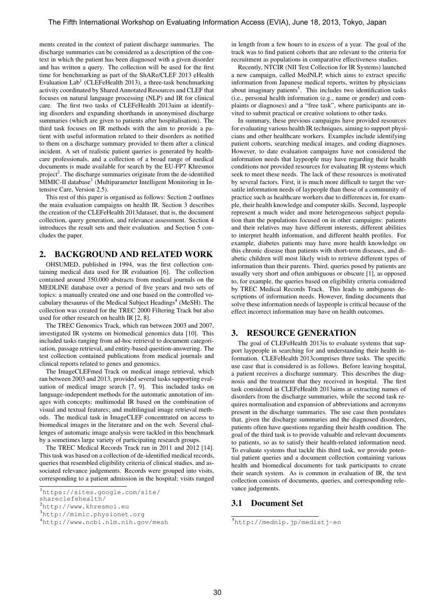ments created in the context of patient discharge summaries. The discharge summaries can be considered as a description of the context in which the patient has been diagnosed with a given disorder and has written a query. The collection will be used for the first time for benchmarking as part of the ShARe/CLEF 2013 eHealth Evaluation  $Lab<sup>1</sup>$  (CLEFeHealth 2013), a three-task benchmarking activity coordinated by Shared Annotated Resources and CLEF that focuses on natural language processing (NLP) and IR for clinical care. The first two tasks of CLEFeHealth 2013aim at identifying disorders and expanding shorthands in anonymised discharge summaries (which are given to patients after hospitalisation). The third task focuses on IR methods with the aim to provide a patient with useful information related to their disorders as notified to them on a discharge summary provided to them after a clinical incident. A set of realistic patient queries is generated by healthcare professionals, and a collection of a broad range of medical documents is made available for search by the EU-FP7 Khresmoi project<sup>2</sup>. The discharge summaries originate from the de-identified MIMIC-II database<sup>3</sup> (Multiparameter Intelligent Monitoring in Intensive Care, Version 2.5).

This rest of this paper is organised as follows: Section 2 outlines the main evaluation campaigns on health IR. Section 3 describes the creation of the CLEFeHealth 2013dataset, that is, the document collection, query generation, and relevance assessment. Section 4 introduces the result sets and their evaluation. and Section 5 concludes the paper.

## 2. BACKGROUND AND RELATED WORK

OHSUMED, published in 1994, was the first collection containing medical data used for IR evaluation [6]. The collection contained around 350,000 abstracts from medical journals on the MEDLINE database over a period of five years and two sets of topics: a manually created one and one based on the controlled vocabulary thesaurus of the Medical Subject Headings<sup>4</sup> (MeSH). The collection was created for the TREC 2000 Filtering Track but also used for other research on health IR [2, 8].

The TREC Genomics Track, which ran between 2003 and 2007, investigated IR systems on biomedical genomics data [10]. This included tasks ranging from ad-hoc retrieval to document categorisation, passage retrieval, and entity-based question-answering. The test collection contained publications from medical journals and clinical reports related to genes and genomics.

The ImageCLEFmed Track on medical image retrieval, which ran between 2003 and 2013, provided several tasks supporting evaluation of medical image search [7, 9]. This included tasks on language-independent methods for the automatic annotation of images with concepts; multimodal IR based on the combination of visual and textual features; and multilingual image retrieval methods. The medical task in ImageCLEF concentrated on access to biomedical images in the literature and on the web. Several challenges of automatic image analysis were tackled in this benchmark by a sometimes large variety of participating research groups.

The TREC Medical Records Track ran in 2011 and 2012 [14]. This task was based on a collection of de-identified medical records, queries that resembled eligibility criteria of clinical studies, and associated relevance judgements. Records were grouped into visits, corresponding to a patient admission in the hospital; visits ranged

shareclefehealth/

in length from a few hours to in excess of a year. The goal of the track was to find patient cohorts that are relevant to the criteria for recruitment as populations in comparative effectiveness studies.

Recently, NTCIR (NII Test Collection for IR Systems) launched a new campaign, called MedNLP, which aims to extract specific information from Japanese medical reports, written by physicians about imaginary patients<sup>5</sup>. This includes two identification tasks (i.e., personal health information (e.g., name or gender) and complaints or diagnoses) and a "free task", where participants are invited to submit practical or creative solutions to other tasks.

In summary, these previous campaigns have provided resources for evaluating various health IR techniques, aiming to support physicians and other healthcare workers. Examples include identifying patient cohorts, searching medical images, and coding diagnoses. However, to date evaluation campaigns have not considered the information needs that laypeople may have regarding their health conditions nor provided resources for evaluating IR systems which seek to meet these needs. The lack of these resources is motivated by several factors. First, it is much more difficult to target the versatile information needs of laypeople than those of a community of practice such as healthcare workers due to differences in, for example, their health knowledge and computer skills. Second, laypeople represent a much wider and more heterogeneous subject population than the populations focused on in other campaigns: patients and their relatives may have different interests, different abilities to interpret health information, and different health profiles. For example, diabetes patients may have more health knowledge on this chronic disease than patients with short-term diseases, and diabetic children will most likely wish to retrieve different types of information than their parents. Third, queries posed by patients are usually very short and often ambiguous or obscure [1], as opposed to, for example, the queries based on eligibility criteria considered by TREC Medical Records Track. This leads to ambiguous descriptions of information needs. However, finding documents that solve these information needs of laypeople is critical because of the effect incorrect information may have on health outcomes.

## 3. RESOURCE GENERATION

The goal of CLEFeHealth 2013is to evaluate systems that support laypeople in searching for and understanding their health information. CLEFeHealth 2013comprises three tasks. The specific use case that is considered is as follows. Before leaving hospital, a patient receives a discharge summary. This describes the diagnosis and the treatment that they received in hospital. The first task considered in CLEFeHealth 2013aims at extracting names of disorders from the discharge summaries, while the second task requires normalisation and expansion of abbreviations and acronyms present in the discharge summaries. The use case then postulates that, given the discharge summaries and the diagnosed disorders, patients often have questions regarding their health condition. The goal of the third task is to provide valuable and relevant documents to patients, so as to satisfy their health-related information need. To evaluate systems that tackle this third task, we provide potential patient queries and a document collection containing various health and biomedical documents for task participants to create their search system. As is common in evaluation of IR, the test collection consists of documents, queries, and corresponding relevance judgements.

#### 3.1 Document Set

<sup>1</sup>https://sites.google.com/site/

<sup>2</sup>http://www.khresmoi.eu

<sup>3</sup>http://mimic.physionet.org

<sup>4</sup>http://www.ncbi.nlm.nih.gov/mesh

<sup>5</sup>http://mednlp.jp/medistj-en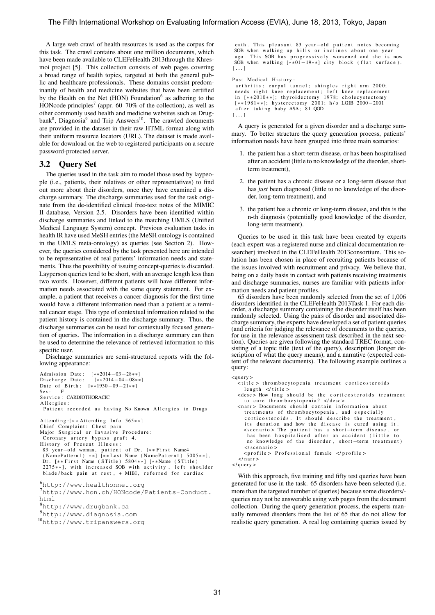A large web crawl of health resources is used as the corpus for this task. The crawl contains about one million documents, which have been made available to CLEFeHealth 2013through the Khresmoi project [5]. This collection consists of web pages covering a broad range of health topics, targeted at both the general public and healthcare professionals. These domains consist predominantly of health and medicine websites that have been certified by the Health on the Net (HON) Foundation<sup>6</sup> as adhering to the HONcode principles<sup>7</sup> (appr. 60–70% of the collection), as well as other commonly used health and medicine websites such as Drugbank<sup>8</sup>, Diagnosia<sup>9</sup> and Trip Answers<sup>10</sup>. The crawled documents are provided in the dataset in their raw HTML format along with their uniform resource locators (URL). The dataset is made available for download on the web to registered participants on a secure password-protected server.

#### 3.2 Query Set

The queries used in the task aim to model those used by laypeople (i.e., patients, their relatives or other representatives) to find out more about their disorders, once they have examined a discharge summary. The discharge summaries used for the task originate from the de-identified clinical free-text notes of the MIMIC II database, Version 2.5. Disorders have been identified within discharge summaries and linked to the matching UMLS (Unified Medical Language System) concept. Previous evaluation tasks in health IR have used MeSH entries (the MeSH ontology is contained in the UMLS meta-ontology) as queries (see Section 2). However, the queries considered by the task presented here are intended to be representative of real patients' information needs and statements. Thus the possibility of issuing concept-queries is discarded. Layperson queries tend to be short, with an average length less than two words. However, different patients will have different information needs associated with the same query statement. For example, a patient that receives a cancer diagnosis for the first time would have a different information need than a patient at a terminal cancer stage. This type of contextual information related to the patient history is contained in the discharge summary. Thus, the discharge summaries can be used for contextually focused generation of queries. The information in a discharge summary can then be used to determine the relevance of retrieved information to this specific user.

Discharge summaries are semi-structured reports with the following appearance:

Admission Date:  $[**2014-03-28**]$ <br>Discharge Date:  $[**2014-04-08**]$ Discharge Date: Date of Birth:  $[**1930-09-21**]$ <br>Sex: F  $Sex:$ Service: CARDIOTHORACIC Allergies: Patient recorded as having No Known Allergies to Drugs Attending:  $[**Attentioning$  Info 565 $**]$ Chief Complaint: Chest pain Major Surgical or Invasive Procedure: Coronary artery bypass graft 4. History of Present Illness: 83 year-old woman, patient of Dr. [\*\*First Name4  $(NamePattern1)$  \*\*]  $[**Last Name (NamePattern1) 5005**],$ Dr. [\*\*First Name (STitle) 5804\*\*] [\*\*Name (STitle)<br>2275\*\*], with increased SOB with activity, left shoulder \*], with increased SOB with activity, blade/back pain at rest, + MIBI, referred for cardiac

<sup>6</sup>http://www.healthonnet.org

<sup>7</sup>http://www.hon.ch/HONcode/Patients-Conduct. html

<sup>8</sup>http://www.drugbank.ca

<sup>9</sup>http://www.diagnosia.com

```
10http://www.tripanswers.org
```
cath. This pleasant 83 year-old patient notes becoming SOB when walking up hills or inclines about one year ago. This SOB has progressively worsened and she is now SOB when walking  $[**01-19**]$  city block (flat surface).  $[\ldots]$ 

Past Medical History:

```
arthritis; carpal tunnel; shingles right arm 2000;
 needs right knee replacement; left knee replacement
 in [**2010**]; thyroidectomy 1978; cholecystectomy
 [∗∗1 9 8 1∗∗]; h y s t e r e c t o m y 2 0 0 1; h / o LGIB 2000−2001
 a fter taking baby ASA; 81 QOD
[\ldots]
```
A query is generated for a given disorder and a discharge summary. To better structure the query generation process, patients' information needs have been grouped into three main scenarios:

- 1. the patient has a short-term disease, or has been hospitalised after an accident (little to no knowledge of the disorder, shortterm treatment),
- 2. the patient has a chronic disease or a long-term disease that has *just* been diagnosed (little to no knowledge of the disorder, long-term treatment), and
- 3. the patient has a chronic or long-term disease, and this is the n-th diagnosis (potentially good knowledge of the disorder, long-term treatment).

Queries to be used in this task have been created by experts (each expert was a registered nurse and clinical documentation researcher) involved in the CLEFeHealth 2013consortium. This solution has been chosen in place of recruiting patients because of the issues involved with recruitment and privacy. We believe that, being on a daily basis in contact with patients receiving treatments and discharge summaries, nurses are familiar with patients information needs and patient profiles.

65 disorders have been randomly selected from the set of 1,006 disorders identified in the CLEFeHealth 2013Task 1. For each disorder, a discharge summary containing the disorder itself has been randomly selected. Using the pairs of disorder and associated discharge summary, the experts have developed a set of patient queries (and criteria for judging the relevance of documents to the queries, for use in the relevance assessment task described in the next section). Queries are given following the standard TREC format, consisting of a topic title (text of the query), description (longer description of what the query means), and a narrative (expected content of the relevant documents). The following example outlines a query:

```
\langle_query
  ititle > thrombocytopenia treatment corticosteroids
    length \leq / title<desc> How long should be the corticosteroids treatment
    to cure thrombocytopenia? </desc>
  < n a r r > Documents s h o ul d c o n t a i n i n f o r m a t i o n a b o ut
    treatments of thrombocytopenia, and especially
    corticosteroids. It should describe the treatment,
    its duration and how the disease is cured using it.
    <scenario > The patient has a short-term disease, or
     has been hospitalised after an accident (little to
     no knowledge of the disorder, short-term treatment)
    \langle/ scenario >
    <profile > Professional female </profile>
  \langle/nar\langle query >
```
With this approach, five training and fifty test queries have been generated for use in the task. 65 disorders have been selected (i.e. more than the targeted number of queries) because some disorders/ queries may not be answerable using web pages from the document collection. During the query generation process, the experts manually removed disorders from the list of 65 that do not allow for realistic query generation. A real log containing queries issued by